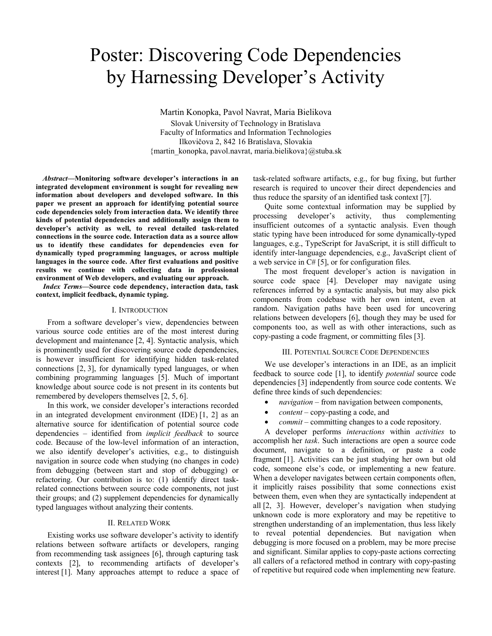# Poster: Discovering Code Dependencies by Harnessing Developer's Activity

Martin Konopka, Pavol Navrat, Maria Bielikova Slovak University of Technology in Bratislava Faculty of Informatics and Information Technologies Ilkovičova 2, 842 16 Bratislava, Slovakia {martin\_konopka, pavol.navrat, maria.bielikova}@stuba.sk

*Abstract***—Monitoring software developer's interactions in an integrated development environment is sought for revealing new information about developers and developed software. In this paper we present an approach for identifying potential source code dependencies solely from interaction data. We identify three kinds of potential dependencies and additionally assign them to developer's activity as well, to reveal detailed task-related connections in the source code. Interaction data as a source allow us to identify these candidates for dependencies even for dynamically typed programming languages, or across multiple languages in the source code. After first evaluations and positive results we continue with collecting data in professional environment of Web developers, and evaluating our approach.** 

*Index Terms***—Source code dependency, interaction data, task context, implicit feedback, dynamic typing.** 

## I. INTRODUCTION

From a software developer's view, dependencies between various source code entities are of the most interest during development and maintenance [2, 4]. Syntactic analysis, which is prominently used for discovering source code dependencies, is however insufficient for identifying hidden task-related connections [2, 3], for dynamically typed languages, or when combining programming languages [5]. Much of important knowledge about source code is not present in its contents but remembered by developers themselves [2, 5, 6].

In this work, we consider developer's interactions recorded in an integrated development environment (IDE) [1, 2] as an alternative source for identification of potential source code dependencies – identified from *implicit feedback* to source code. Because of the low-level information of an interaction, we also identify developer's activities, e.g., to distinguish navigation in source code when studying (no changes in code) from debugging (between start and stop of debugging) or refactoring. Our contribution is to: (1) identify direct taskrelated connections between source code components, not just their groups; and (2) supplement dependencies for dynamically typed languages without analyzing their contents.

#### II. RELATED WORK

Existing works use software developer's activity to identify relations between software artifacts or developers, ranging from recommending task assignees [6], through capturing task contexts [2], to recommending artifacts of developer's interest [1]. Many approaches attempt to reduce a space of task-related software artifacts, e.g., for bug fixing, but further research is required to uncover their direct dependencies and thus reduce the sparsity of an identified task context [7].

Quite some contextual information may be supplied by processing developer's activity, thus complementing insufficient outcomes of a syntactic analysis. Even though static typing have been introduced for some dynamically-typed languages, e.g., TypeScript for JavaScript, it is still difficult to identify inter-language dependencies, e.g., JavaScript client of a web service in C# [5], or for configuration files.

The most frequent developer's action is navigation in source code space [4]. Developer may navigate using references inferred by a syntactic analysis, but may also pick components from codebase with her own intent, even at random. Navigation paths have been used for uncovering relations between developers [6], though they may be used for components too, as well as with other interactions, such as copy-pasting a code fragment, or committing files [3].

#### III. POTENTIAL SOURCE CODE DEPENDENCIES

We use developer's interactions in an IDE, as an implicit feedback to source code [1], to identify *potential* source code dependencies [3] independently from source code contents. We define three kinds of such dependencies:

- *navigation –* from navigation between components,
- *content* copy-pasting a code, and
- *commit*  committing changes to a code repository.

A developer performs *interactions* within *activities* to accomplish her *task*. Such interactions are open a source code document, navigate to a definition, or paste a code fragment [1]. Activities can be just studying her own but old code, someone else's code, or implementing a new feature. When a developer navigates between certain components often, it implicitly raises possibility that some connections exist between them, even when they are syntactically independent at all [2, 3]. However, developer's navigation when studying unknown code is more exploratory and may be repetitive to strengthen understanding of an implementation, thus less likely to reveal potential dependencies. But navigation when debugging is more focused on a problem, may be more precise and significant. Similar applies to copy-paste actions correcting all callers of a refactored method in contrary with copy-pasting of repetitive but required code when implementing new feature.